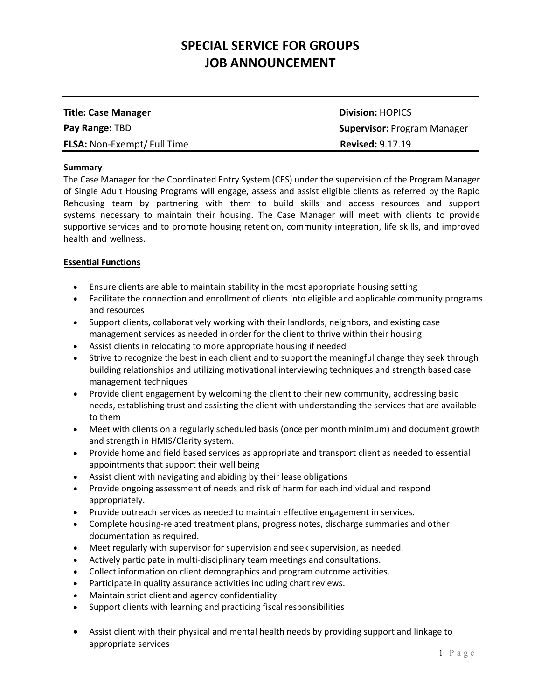| <b>Title: Case Manager</b>        | <b>Division: HOPICS</b>            |
|-----------------------------------|------------------------------------|
| <b>Pay Range: TBD</b>             | <b>Supervisor: Program Manager</b> |
| <b>FLSA: Non-Exempt/Full Time</b> | <b>Revised: 9.17.19</b>            |

#### **Summary**

The Case Manager for the Coordinated Entry System (CES) under the supervision of the Program Manager of Single Adult Housing Programs will engage, assess and assist eligible clients as referred by the Rapid Rehousing team by partnering with them to build skills and access resources and support systems necessary to maintain their housing. The Case Manager will meet with clients to provide supportive services and to promote housing retention, community integration, life skills, and improved health and wellness.

## **Essential Functions**

- Ensure clients are able to maintain stability in the most appropriate housing setting
- Facilitate the connection and enrollment of clients into eligible and applicable community programs and resources
- Support clients, collaboratively working with their landlords, neighbors, and existing case management services as needed in order for the client to thrive within their housing
- Assist clients in relocating to more appropriate housing if needed
- Strive to recognize the best in each client and to support the meaningful change they seek through building relationships and utilizing motivational interviewing techniques and strength based case management techniques
- Provide client engagement by welcoming the client to their new community, addressing basic needs, establishing trust and assisting the client with understanding the services that are available to them
- Meet with clients on a regularly scheduled basis (once per month minimum) and document growth and strength in HMIS/Clarity system.
- Provide home and field based services as appropriate and transport client as needed to essential appointments that support their well being
- Assist client with navigating and abiding by their lease obligations
- Provide ongoing assessment of needs and risk of harm for each individual and respond appropriately.
- Provide outreach services as needed to maintain effective engagement in services.
- Complete housing-related treatment plans, progress notes, discharge summaries and other documentation as required.
- Meet regularly with supervisor for supervision and seek supervision, as needed.
- Actively participate in multi-disciplinary team meetings and consultations.
- Collect information on client demographics and program outcome activities.
- Participate in quality assurance activities including chart reviews.
- Maintain strict client and agency confidentiality
- Support clients with learning and practicing fiscal responsibilities
- Assist client with their physical and mental health needs by providing support and linkage to appropriate services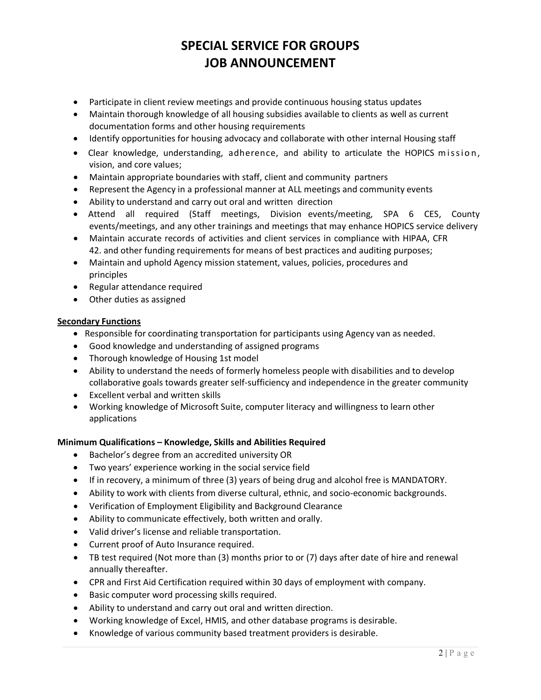- Participate in client review meetings and provide continuous housing status updates
- Maintain thorough knowledge of all housing subsidies available to clients as well as current documentation forms and other housing requirements
- Identify opportunities for housing advocacy and collaborate with other internal Housing staff
- Clear knowledge, understanding, adherence, and ability to articulate the HOPICS mission, vision, and core values;
- Maintain appropriate boundaries with staff, client and community partners
- Represent the Agency in a professional manner at ALL meetings and community events
- Ability to understand and carry out oral and written direction
- Attend all required (Staff meetings, Division events/meeting, SPA 6 CES, County events/meetings, and any other trainings and meetings that may enhance HOPICS service delivery
- Maintain accurate records of activities and client services in compliance with HIPAA, CFR 42. and other funding requirements for means of best practices and auditing purposes;
- Maintain and uphold Agency mission statement, values, policies, procedures and principles
- Regular attendance required
- Other duties as assigned

## **Secondary Functions**

- Responsible for coordinating transportation for participants using Agency van as needed.
- Good knowledge and understanding of assigned programs
- Thorough knowledge of Housing 1st model
- Ability to understand the needs of formerly homeless people with disabilities and to develop collaborative goals towards greater self-sufficiency and independence in the greater community
- Excellent verbal and written skills
- Working knowledge of Microsoft Suite, computer literacy and willingness to learn other applications

## **Minimum Qualifications – Knowledge, Skills and Abilities Required**

- Bachelor's degree from an accredited university OR
- Two years' experience working in the social service field
- If in recovery, a minimum of three (3) years of being drug and alcohol free is MANDATORY.
- Ability to work with clients from diverse cultural, ethnic, and socio-economic backgrounds.
- Verification of Employment Eligibility and Background Clearance
- Ability to communicate effectively, both written and orally.
- Valid driver's license and reliable transportation.
- Current proof of Auto Insurance required.
- TB test required (Not more than (3) months prior to or (7) days after date of hire and renewal annually thereafter.
- CPR and First Aid Certification required within 30 days of employment with company.
- Basic computer word processing skills required.
- Ability to understand and carry out oral and written direction.
- Working knowledge of Excel, HMIS, and other database programs is desirable.
- Knowledge of various community based treatment providers is desirable.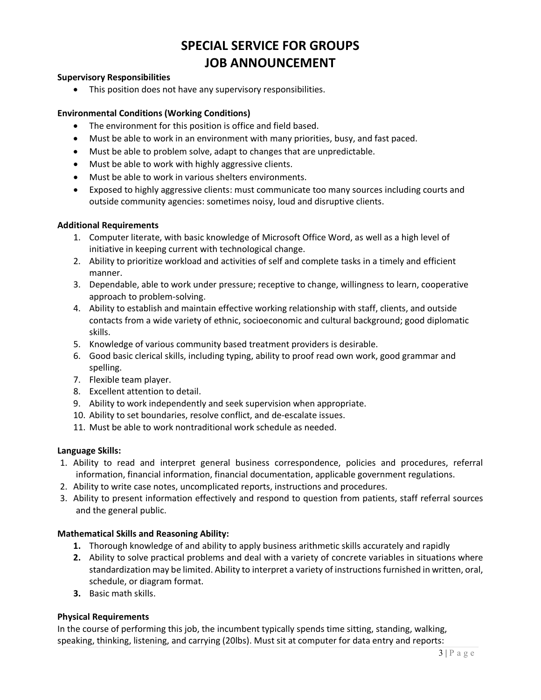## **Supervisory Responsibilities**

• This position does not have any supervisory responsibilities.

#### **Environmental Conditions (Working Conditions)**

- The environment for this position is office and field based.
- Must be able to work in an environment with many priorities, busy, and fast paced.
- Must be able to problem solve, adapt to changes that are unpredictable.
- Must be able to work with highly aggressive clients.
- Must be able to work in various shelters environments.
- Exposed to highly aggressive clients: must communicate too many sources including courts and outside community agencies: sometimes noisy, loud and disruptive clients.

#### **Additional Requirements**

- 1. Computer literate, with basic knowledge of Microsoft Office Word, as well as a high level of initiative in keeping current with technological change.
- 2. Ability to prioritize workload and activities of self and complete tasks in a timely and efficient manner.
- 3. Dependable, able to work under pressure; receptive to change, willingness to learn, cooperative approach to problem-solving.
- 4. Ability to establish and maintain effective working relationship with staff, clients, and outside contacts from a wide variety of ethnic, socioeconomic and cultural background; good diplomatic skills.
- 5. Knowledge of various community based treatment providers is desirable.
- 6. Good basic clerical skills, including typing, ability to proof read own work, good grammar and spelling.
- 7. Flexible team player.
- 8. Excellent attention to detail.
- 9. Ability to work independently and seek supervision when appropriate.
- 10. Ability to set boundaries, resolve conflict, and de-escalate issues.
- 11. Must be able to work nontraditional work schedule as needed.

## **Language Skills:**

- 1. Ability to read and interpret general business correspondence, policies and procedures, referral information, financial information, financial documentation, applicable government regulations.
- 2. Ability to write case notes, uncomplicated reports, instructions and procedures.
- 3. Ability to present information effectively and respond to question from patients, staff referral sources and the general public.

## **Mathematical Skills and Reasoning Ability:**

- **1.** Thorough knowledge of and ability to apply business arithmetic skills accurately and rapidly
- **2.** Ability to solve practical problems and deal with a variety of concrete variables in situations where standardization may be limited. Ability to interpret a variety of instructions furnished in written, oral, schedule, or diagram format.
- **3.** Basic math skills.

## **Physical Requirements**

In the course of performing this job, the incumbent typically spends time sitting, standing, walking, speaking, thinking, listening, and carrying (20lbs). Must sit at computer for data entry and reports: